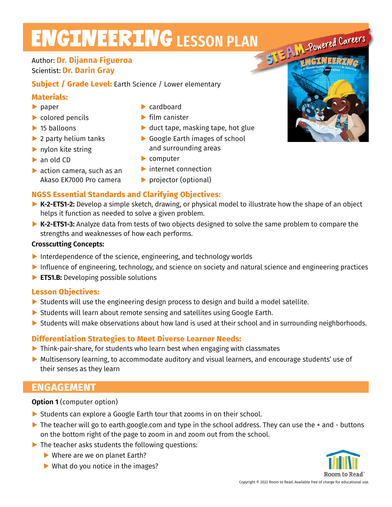# **ENGINEERING LESSON PLAN**

## Author: **Dr. Dijanna Figueroa** Scientist: **Dr. Darin Gray**

**Subject / Grade Level:** Earth Science / Lower elementary

### **Materials:**

- **▶** paper
- **▶** colored pencils
- **▶** 15 balloons
- **▶** 2 party helium tanks
- **▶** nylon kite string
- **▶** an old CD
- **▶** action camera, such as an Akaso EK7000 Pro camera
- **▶** cardboard
- **▶** film canister
- **▶** duct tape, masking tape, hot glue
- **▶** Google Earth images of school and surrounding areas
- **▶** computer
- **▶** internet connection
- **▶** projector (optional)

## **NGSS Essential Standards and Clarifying Objectives:**

- **▶ K-2-ETS1-2:** Develop a simple sketch, drawing, or physical model to illustrate how the shape of an object helps it function as needed to solve a given problem.
- **▶ K-2-ETS1-3:** Analyze data from tests of two objects designed to solve the same problem to compare the strengths and weaknesses of how each performs.

#### **Crosscutting Concepts:**

- **▶** Interdependence of the science, engineering, and technology worlds
- **▶** Influence of engineering, technology, and science on society and natural science and engineering practices
- **▶ ETS1.B:** Developing possible solutions

## **Lesson Objectives:**

- ▶ Students will use the engineering design process to design and build a model satellite.
- ▶ Students will learn about remote sensing and satellites using Google Earth.
- ▶ Students will make observations about how land is used at their school and in surrounding neighborhoods.

## **Differentiation Strategies to Meet Diverse Learner Needs:**

- **▶** Think-pair-share, for students who learn best when engaging with classmates
- ▶ Multisensory learning, to accommodate auditory and visual learners, and encourage students' use of their senses as they learn

## **ENGAGEMENT**

**Option 1** (computer option)

- ▶ Students can explore a Google Earth tour that zooms in on their school.
- ▶ The teacher will go to earth.google.com and type in the school address. They can use the + and buttons on the bottom right of the page to zoom in and zoom out from the school.
- **▶** The teacher asks students the following questions:
	- **▶** Where are we on planet Earth?
	- **▶** What do you notice in the images?



STEAM-Powered Careers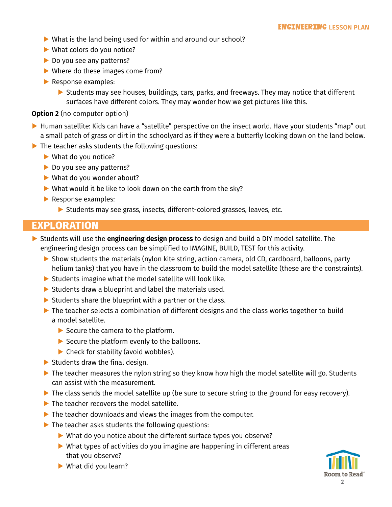- **▶** What is the land being used for within and around our school?
- ▶ What colors do you notice?
- ▶ Do you see any patterns?
- **▶** Where do these images come from?
- **▶** Response examples:
	- ▶ Students may see houses, buildings, cars, parks, and freeways. They may notice that different surfaces have different colors. They may wonder how we get pictures like this.

#### **Option 2** (no computer option)

- ▶ Human satellite: Kids can have a "satellite" perspective on the insect world. Have your students "map" out a small patch of grass or dirt in the schoolyard as if they were a butterfly looking down on the land below.
- **▶** The teacher asks students the following questions:
	- **▶** What do you notice?
	- **▶** Do you see any patterns?
	- **▶** What do you wonder about?
	- **▶** What would it be like to look down on the earth from the sky?
	- **▶** Response examples:
		- ▶ Students may see grass, insects, different-colored grasses, leaves, etc.

## **EXPLORATION**

- **▶** Students will use the **engineering design process** to design and build a DIY model satellite. The engineering design process can be simplified to IMAGINE, BUILD, TEST for this activity.
	- ▶ Show students the materials (nylon kite string, action camera, old CD, cardboard, balloons, party helium tanks) that you have in the classroom to build the model satellite (these are the constraints).
	- ▶ Students imagine what the model satellite will look like.
	- **▶** Students draw a blueprint and label the materials used.
	- ▶ Students share the blueprint with a partner or the class.
	- **▶** The teacher selects a combination of different designs and the class works together to build a model satellite.
		- **▶** Secure the camera to the platform.
		- **▶** Secure the platform evenly to the balloons.
		- **▶** Check for stability (avoid wobbles).
	- **▶** Students draw the final design.
	- ▶ The teacher measures the nylon string so they know how high the model satellite will go. Students can assist with the measurement.
	- **▶** The class sends the model satellite up (be sure to secure string to the ground for easy recovery).
	- ▶ The teacher recovers the model satellite.
	- **▶** The teacher downloads and views the images from the computer.
	- ▶ The teacher asks students the following questions:
		- **▶** What do you notice about the different surface types you observe?
		- **▶** What types of activities do you imagine are happening in different areas that you observe?



**▶** What did you learn?